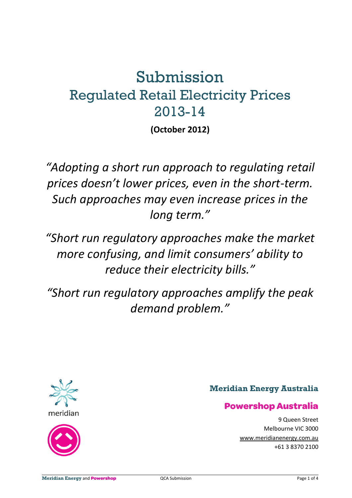# Submission Regulated Retail Electricity Prices 2013-14

**(October 2012)** 

*"Adopting a short run approach to regulating retail prices doesn't lower prices, even in the short-term. Such approaches may even increase prices in the long term."* 

*"Short run regulatory approaches make the market more confusing, and limit consumers' ability to reduce their electricity bills."* 

*"Short run regulatory approaches amplify the peak demand problem."* 





 $\overline{a}$ 

# **Meridian Energy Australia**

# **Powershop Australia**

9 Queen Street Melbourne VIC 3000 www.meridianenergy.com.au +61 3 8370 2100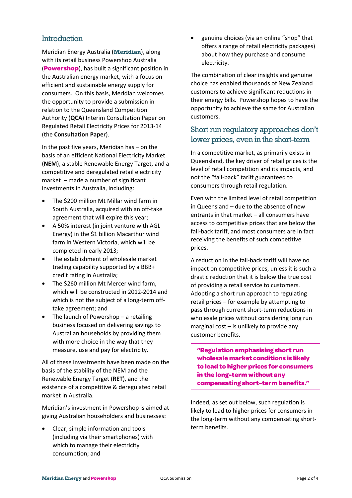#### **Introduction**

Meridian Energy Australia (**Meridian**), along with its retail business Powershop Australia (**Powershop**), has built a significant position in the Australian energy market, with a focus on efficient and sustainable energy supply for consumers. On this basis, Meridian welcomes the opportunity to provide a submission in relation to the Queensland Competition Authority (**QCA**) Interim Consultation Paper on Regulated Retail Electricity Prices for 2013-14 (the **Consultation Paper**).

In the past five years, Meridian has – on the basis of an efficient National Electricity Market (**NEM**), a stable Renewable Energy Target, and a competitive and deregulated retail electricity market – made a number of significant investments in Australia, including:

- The \$200 million Mt Millar wind farm in South Australia, acquired with an off-take agreement that will expire this year;
- A 50% interest (in joint venture with AGL Energy) in the \$1 billion Macarthur wind farm in Western Victoria, which will be completed in early 2013;
- The establishment of wholesale market trading capability supported by a BBB+ credit rating in Australia;
- The \$260 million Mt Mercer wind farm, which will be constructed in 2012-2014 and which is not the subject of a long-term offtake agreement; and
- The launch of Powershop a retailing business focused on delivering savings to Australian households by providing them with more choice in the way that they measure, use and pay for electricity.

All of these investments have been made on the basis of the stability of the NEM and the Renewable Energy Target (**RET**), and the existence of a competitive & deregulated retail market in Australia.

Meridian's investment in Powershop is aimed at giving Australian householders and businesses:

• Clear, simple information and tools (including via their smartphones) with which to manage their electricity consumption; and

• genuine choices (via an online "shop" that offers a range of retail electricity packages) about how they purchase and consume electricity.

The combination of clear insights and genuine choice has enabled thousands of New Zealand customers to achieve significant reductions in their energy bills. Powershop hopes to have the opportunity to achieve the same for Australian customers.

#### Short run regulatory approaches don't lower prices, even in the short-term

In a competitive market, as primarily exists in Queensland, the key driver of retail prices is the level of retail competition and its impacts, and not the "fall-back" tariff guaranteed to consumers through retail regulation.

Even with the limited level of retail competition in Queensland – due to the absence of new entrants in that market – all consumers have access to competitive prices that are below the fall-back tariff, and most consumers are in fact receiving the benefits of such competitive prices.

A reduction in the fall-back tariff will have no impact on competitive prices, unless it is such a drastic reduction that it is below the true cost of providing a retail service to customers. Adopting a short run approach to regulating retail prices – for example by attempting to pass through current short-term reductions in wholesale prices without considering long run marginal cost – is unlikely to provide any customer benefits.

**"Regulation emphasising short run wholesale market conditions is likely to lead to higher prices for consumers in the long-term without any compensating short-term benefits."**

Indeed, as set out below, such regulation is likely to lead to higher prices for consumers in the long-term without any compensating shortterm benefits.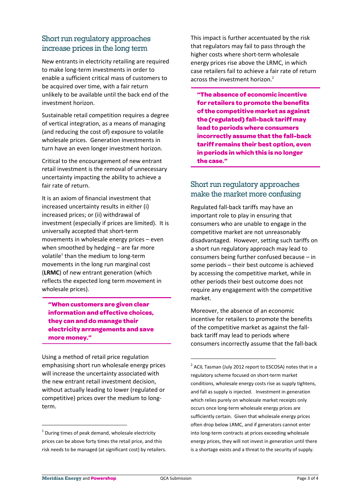# Short run regulatory approaches increase prices in the long term

New entrants in electricity retailing are required to make long-term investments in order to enable a sufficient critical mass of customers to be acquired over time, with a fair return unlikely to be available until the back end of the investment horizon.

Sustainable retail competition requires a degree of vertical integration, as a means of managing (and reducing the cost of) exposure to volatile wholesale prices. Generation investments in turn have an even longer investment horizon.

Critical to the encouragement of new entrant retail investment is the removal of unnecessary uncertainty impacting the ability to achieve a fair rate of return.

It is an axiom of financial investment that increased uncertainty results in either (i) increased prices; or (ii) withdrawal of investment (especially if prices are limited). It is universally accepted that short-term movements in wholesale energy prices – even when smoothed by hedging – are far more volatile<sup>1</sup> than the medium to long-term movements in the long run marginal cost (**LRMC**) of new entrant generation (which reflects the expected long term movement in wholesale prices).

**"When customers are given clear information and effective choices, they can and do manage their electricity arrangements and save more money."** 

Using a method of retail price regulation emphasising short run wholesale energy prices will increase the uncertainty associated with the new entrant retail investment decision, without actually leading to lower (regulated or competitive) prices over the medium to longterm.

This impact is further accentuated by the risk that regulators may fail to pass through the higher costs where short-term wholesale energy prices rise above the LRMC, in which case retailers fail to achieve a fair rate of return across the investment horizon.<sup>2</sup>

**"The absence of economic incentive for retailers to promote the benefits of the competitive market as against the (regulated) fall-back tariff may lead to periods where consumers incorrectly assume that the fall-back tariff remains their best option, even in periods in which this is no longer the case."**

## Short run regulatory approaches make the market more confusing

Regulated fall-back tariffs may have an important role to play in ensuring that consumers who are unable to engage in the competitive market are not unreasonably disadvantaged. However, setting such tariffs on a short run regulatory approach may lead to consumers being further confused because – in some periods – their best outcome is achieved by accessing the competitive market, while in other periods their best outcome does not require any engagement with the competitive market.

Moreover, the absence of an economic incentive for retailers to promote the benefits of the competitive market as against the fallback tariff may lead to periods where consumers incorrectly assume that the fall-back

 $\overline{a}$ 

1

<u>.</u>

 $1$  During times of peak demand, wholesale electricity prices can be above forty times the retail price, and this risk needs to be managed (at significant cost) by retailers.

<sup>&</sup>lt;sup>2</sup> ACIL Tasman (July 2012 report to ESCOSA) notes that in a regulatory scheme focused on short-term market conditions, wholesale energy costs rise as supply tightens, and fall as supply is injected. Investment in generation which relies purely on wholesale market receipts only occurs once long-term wholesale energy prices are sufficiently certain. Given that wholesale energy prices often drop below LRMC, and if generators cannot enter into long-term contracts at prices exceeding wholesale energy prices, they will not invest in generation until there is a shortage exists and a threat to the security of supply.